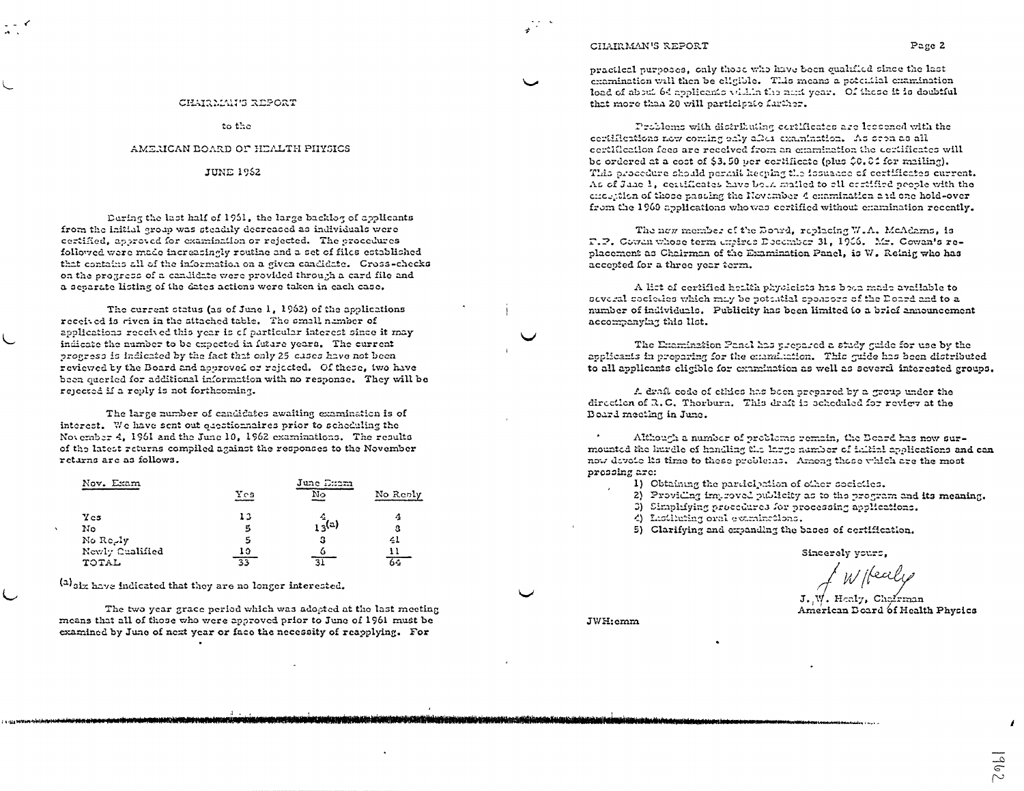#### CHAIRMAN'S REPORT

practical purposes, only those who have been qualified since the last examination will then be eligible. This means a potential examination load of about 64 applicants within the next year. Of these it is doubtful that more than 20 will participate farther.

Problems with distributing contlicates are lessened with the certifications new coming ealy after examination. As seen as all certification fees are received from an examination the certificates will be ordered at a cost of \$3.50 per certificate (plus \$0.84 for mailing). This procedure should permit keeping the fosuade of certificates current. As of June 1, certificates have been mailed to all certified people with the chocked of those passing the November 4 chamination and one hold-over from the 1960 applications who was certified without examination recently.

The new member of the Bourd, replacing W.A. McAdams, is T.P. Cowan whose term choires December 31, 1966. Mr. Cowan's replacement as Chairman of the Examination Panel, is W. Reinig who has accepted for a three year term.

A list of certified health physicists has been made available to several sociolies which may be potential sponsors of the Doard and to a number of individuals. Publicity has been limited to a brief announcement accompanying this list.

The Examination Panel has prepared a study guide for use by the applicants in proparing for the chamination. This guide has been distributed to all applicants cligible for examination as well as several interested groups.

A draft code of ethics has been prepared by a group under the direction of R.C. Thorburn. This draft is scheduled for review at the Board meeting in June.

Although a number of problems remain, the Deard has now surmounted the hurdle of handling the large number of initial applications and can now devote its time to these problems. Among these which are the most prossing arc:

- 1) Obtaining the participation of other societies.
- 2) Providing improved publicity as to the program and its meaning.
- 3) Simplifying procedures for processing applications.
- 4) Lastituting oral examinations.
- 5) Clarifying and expanding the bases of certification.

Sincerely yours,

W Keale

J. W. Healy, Chairman American Doard of Health Physics

 $201$ 

JWH:emm

CHAIRMAN'S REPORT

to the

#### AMERICAN BOARD OF HEALTH PHYSICS

**JUNE 1962** 

During the last half of 1951, the large backlog of applicants from the initial group was steadily decreased as individuals were certified, approved for examination or rejected. The procedures followed were made increasingly routine and a set of files established that contains all of the information on a given candidate. Cross-checks on the progress of a candidate were provided through a card file and a separate listing of the dates actions were taken in each case.

The current status (as of June 1, 1962) of the applications received is riven in the attached table. The small number of applications received this year is of particular interest since it may indicate the number to be expected in future years. The current progress is indicated by the fact that only 25 cases have not been reviewed by the Board and approved or rejected. Of these, two have been queried for additional information with no response. They will be rejected if a reply is not forthcoming.

The large number of candidates awaiting examination is of interest. We have sent out eacctionnaires prior to scheduling the November 4, 1961 and the June 10, 1962 examinations. The results of the latest returns compiled against the responses to the November retarns are as follows.

| Nov. Exam             |     | June Exem      |          |
|-----------------------|-----|----------------|----------|
|                       | Yes | N <sub>2</sub> | No Reply |
| $Y$ cs                | 13  |                | 4        |
| No                    | 5   | $13^{(a)}$     | Ω        |
| No Re <sub>c</sub> ly | s   | з              | 41       |
| Newly Cualified       | 10  |                |          |
| TOTAL                 | হিহ |                | 64       |

(a) six have indicated that they are no longer interested.

The two year grace period which was adopted at the last meeting means that all of those who were approved prior to June of 1961 must be examined by June of next year or face the necessity of reapplying. For